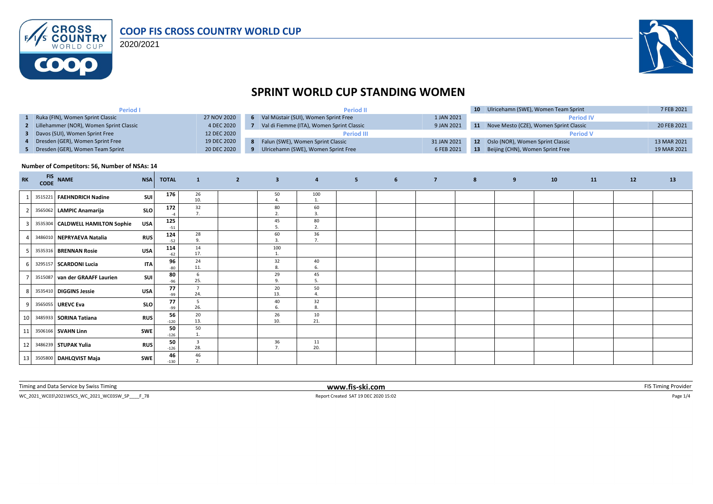

2020/2021



## **SPRINT WORLD CUP STANDING WOMEN**

| <b>Period I</b>                           |             | <b>Period II</b>                          |             |           | 10 Ulricehamn (SWE), Women Team Sprint    | 7 FEB 2021  |
|-------------------------------------------|-------------|-------------------------------------------|-------------|-----------|-------------------------------------------|-------------|
| Ruka (FIN), Women Sprint Classic          | 27 NOV 2020 | Val Müstair (SUI), Women Sprint Free      | 1 JAN 2021  |           | <b>Period IV</b>                          |             |
| 2 Lillehammer (NOR), Women Sprint Classic | 4 DEC 2020  | Val di Fiemme (ITA), Women Sprint Classic | 9 JAN 2021  |           | 11 Nove Mesto (CZE), Women Sprint Classic | 20 FEB 2021 |
| Davos (SUI), Women Sprint Free            | 12 DEC 2020 | <b>Period III</b>                         |             |           | <b>Period V</b>                           |             |
| 4 Dresden (GER), Women Sprint Free        | 19 DEC 2020 | 8 Falun (SWE), Women Sprint Classic       | 31 JAN 2021 | 12        | Oslo (NOR), Women Sprint Classic          | 13 MAR 2021 |
| 5 Dresden (GER), Women Team Sprint        | 20 DEC 2020 | Ulricehamn (SWE), Women Sprint Free       | 6 FEB 2021  | <b>13</b> | Beijing (CHN), Women Sprint Free          | 19 MAR 2021 |

#### **Number of Competitors: 56, Number of NSAs: 14**

| <b>RK</b> | <b>FIS</b><br>CODE | <b>NAME</b>                      | <b>NSA</b> | <b>TOTAL</b> | $\mathbf{1}$          | $\overline{2}$ | $\overline{\mathbf{3}}$            | $\overline{4}$                                   | 5 <sub>1</sub> | 6 | $\overline{7}$ | 8 | 9 | 10 | <b>11</b> | 12 | 13 |
|-----------|--------------------|----------------------------------|------------|--------------|-----------------------|----------------|------------------------------------|--------------------------------------------------|----------------|---|----------------|---|---|----|-----------|----|----|
|           |                    | 3515221 FAEHNDRICH Nadine        | SUI        | 176          | 26<br>10.             |                | 50                                 | 100<br>1.                                        |                |   |                |   |   |    |           |    |    |
|           |                    | 3565062 LAMPIC Anamarija         | <b>SLO</b> | 172          | 32<br>7.              |                | 80<br>$\overline{ }$<br>$\epsilon$ | 60                                               |                |   |                |   |   |    |           |    |    |
|           |                    | 3535304 CALDWELL HAMILTON Sophie | USA        | 125<br>$-51$ |                       |                | 45<br>5                            | 80<br>2.                                         |                |   |                |   |   |    |           |    |    |
|           |                    | 3486010 NEPRYAEVA Natalia        | <b>RUS</b> | 124<br>$-52$ | 28<br>9.              |                | 60<br>$\overline{3}$               | 36<br>$\overline{z}$<br>$\overline{\phantom{a}}$ |                |   |                |   |   |    |           |    |    |
|           |                    | 3535316 BRENNAN Rosie            | <b>USA</b> | 114<br>$-62$ | 14<br>17.             |                | 100<br>$\mathbf{1}$                |                                                  |                |   |                |   |   |    |           |    |    |
|           |                    | 3295157 SCARDONI Lucia           | <b>ITA</b> | 96<br>$-80$  | 24<br>11.             |                | 32<br>8                            | 40                                               |                |   |                |   |   |    |           |    |    |
|           |                    | 3515087 van der GRAAFF Laurien   | SUI        | 80<br>$-96$  | 6<br>25.              |                | 29<br>9.                           | 45<br>5.                                         |                |   |                |   |   |    |           |    |    |
|           |                    | 3535410 DIGGINS Jessie           | <b>USA</b> | 77<br>-99    | $\overline{7}$<br>24. |                | 20<br>13.                          | 50                                               |                |   |                |   |   |    |           |    |    |
|           |                    | 3565055 UREVC Eva                | <b>SLO</b> | 77<br>-99    | -5<br>26.             |                | 40<br>6.                           | 32<br>8.                                         |                |   |                |   |   |    |           |    |    |
| 10        |                    | 3485933   SORINA Tatiana         | <b>RUS</b> | 56<br>$-120$ | 20<br>13.             |                | 26<br>10.                          | 10<br>21.                                        |                |   |                |   |   |    |           |    |    |
| 11        |                    | 3506166 SVAHN Linn               | <b>SWE</b> | 50<br>$-126$ | 50<br>1.              |                |                                    |                                                  |                |   |                |   |   |    |           |    |    |
| 12        |                    | 3486239 STUPAK Yulia             | <b>RUS</b> | 50<br>$-126$ | $\overline{3}$<br>28. |                | 36<br>7.                           | 11<br>20.                                        |                |   |                |   |   |    |           |    |    |
| 13        |                    | 3505800 DAHLQVIST Maja           | <b>SWE</b> | 46<br>$-130$ | 46<br>2.              |                |                                    |                                                  |                |   |                |   |   |    |           |    |    |

| <b>STATE OF BUILDING</b><br><i>i</i> iming<br><b>SWISS</b><br>חהת<br>Limins<br>'rvice ny<br>,,,,, | --ski.com<br>www.fis- |  |
|---------------------------------------------------------------------------------------------------|-----------------------|--|
|                                                                                                   |                       |  |

 $\text{WC\_2021\_WCO3\text{\textbackslash}2021WSCS\_WC\_2021\_WCO35W\_SP \_\_\_778} \vspace{0.1cm} \text{Page 1/4}$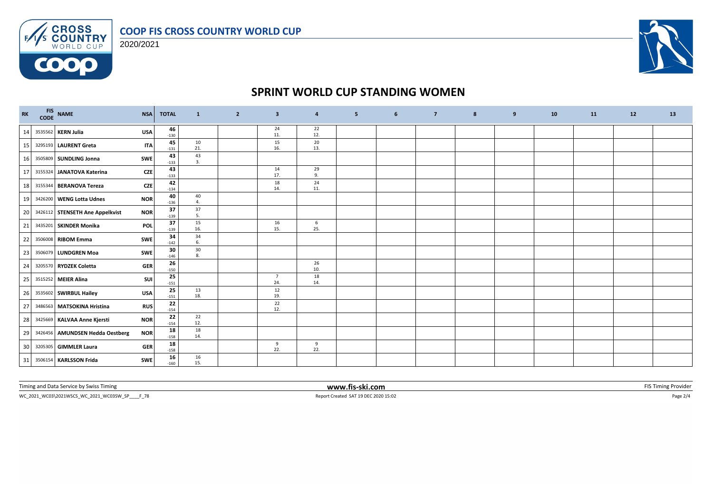



**COOP** 



### **SPRINT WORLD CUP STANDING WOMEN**

| RK | FIS NAME<br>CODE NAME           | <b>NSA</b> | <b>TOTAL</b> | $\mathbf{1}$         | $\overline{2}$ | $\overline{\mathbf{3}}$ | $\overline{\mathbf{4}}$ | 5 <sup>2</sup> | $6\overline{6}$ | $\overline{7}$ | 8 | 9 | 10 | 11 | 12 | 13 |
|----|---------------------------------|------------|--------------|----------------------|----------------|-------------------------|-------------------------|----------------|-----------------|----------------|---|---|----|----|----|----|
| 14 | 3535562 KERN Julia              | <b>USA</b> | 46<br>$-130$ |                      |                | 24<br>11.               | 22<br>12.               |                |                 |                |   |   |    |    |    |    |
| 15 | 3295193 LAURENT Greta           | <b>ITA</b> | 45<br>$-131$ | 10<br>21.            |                | 15<br>16.               | $20\,$<br>13.           |                |                 |                |   |   |    |    |    |    |
| 16 | 3505809 SUNDLING Jonna          | <b>SWE</b> | 43<br>$-133$ | 43<br>3.             |                |                         |                         |                |                 |                |   |   |    |    |    |    |
| 17 | 3155324 JANATOVA Katerina       | CZE        | 43<br>$-133$ |                      |                | 14<br>17.               | 29<br>9.                |                |                 |                |   |   |    |    |    |    |
| 18 | 3155344 BERANOVA Tereza         | CZE        | 42<br>$-134$ |                      |                | 18<br>14.               | 24<br>11.               |                |                 |                |   |   |    |    |    |    |
| 19 | 3426200 WENG Lotta Udnes        | <b>NOR</b> | 40<br>$-136$ | 40<br>$\overline{4}$ |                |                         |                         |                |                 |                |   |   |    |    |    |    |
| 20 | 3426112 STENSETH Ane Appelkvist | <b>NOR</b> | 37<br>$-139$ | 37<br>5.             |                |                         |                         |                |                 |                |   |   |    |    |    |    |
| 21 | 3435201 SKINDER Monika          | <b>POL</b> | 37<br>$-139$ | 15<br>16.            |                | 16<br>15.               | 6<br>25.                |                |                 |                |   |   |    |    |    |    |
| 22 | 3506008 RIBOM Emma              | <b>SWE</b> | 34<br>$-142$ | 34<br>6.             |                |                         |                         |                |                 |                |   |   |    |    |    |    |
| 23 | 3506079 LUNDGREN Moa            | <b>SWE</b> | 30<br>$-146$ | 30<br>8.             |                |                         |                         |                |                 |                |   |   |    |    |    |    |
| 24 | 3205570 RYDZEK Coletta          | <b>GER</b> | 26<br>$-150$ |                      |                |                         | 26<br>10.               |                |                 |                |   |   |    |    |    |    |
| 25 | 3515252 MEIER Alina             | <b>SUI</b> | 25<br>$-151$ |                      |                | $\overline{7}$<br>24.   | 18<br>14.               |                |                 |                |   |   |    |    |    |    |
| 26 | 3535602 SWIRBUL Hailey          | <b>USA</b> | 25<br>$-151$ | 13<br>18.            |                | 12<br>19.               |                         |                |                 |                |   |   |    |    |    |    |
| 27 | 3486563 MATSOKINA Hristina      | <b>RUS</b> | 22<br>$-154$ |                      |                | 22<br>12.               |                         |                |                 |                |   |   |    |    |    |    |
| 28 | 3425669 KALVAA Anne Kjersti     | <b>NOR</b> | 22<br>$-154$ | 22<br>12.            |                |                         |                         |                |                 |                |   |   |    |    |    |    |
| 29 | 3426456 AMUNDSEN Hedda Oestberg | <b>NOR</b> | 18<br>$-158$ | 18<br>14.            |                |                         |                         |                |                 |                |   |   |    |    |    |    |
| 30 | 3205305 GIMMLER Laura           | <b>GER</b> | 18<br>$-158$ |                      |                | 9<br>22.                | 9<br>22.                |                |                 |                |   |   |    |    |    |    |
| 31 | 3506154 KARLSSON Frida          | <b>SWE</b> | 16<br>$-160$ | 16<br>15.            |                |                         |                         |                |                 |                |   |   |    |    |    |    |

Timing and Data Service by Swiss Timing **WWW.fis-ski.com www.fis-ski.com FIS** Timing Provider

 $\textsf{WC\_2021\_WCO3\textbackslash2021WSCS\_WC\_2021\_WCO35W\_SP \_\_\_778 }$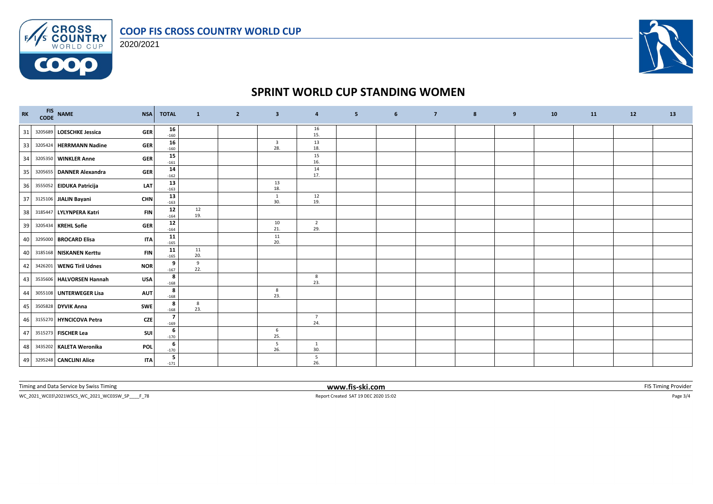



**COOP** 



### **SPRINT WORLD CUP STANDING WOMEN**

| $\mathbf{R}\mathbf{K}$ | FIS NAME<br>CODE NAME<br><b>NSA</b>     | <b>TOTAL</b>                       | $\mathbf{1}$ | $\overline{2}$ | $\overline{\mathbf{3}}$        | $\overline{4}$        | 5 <sub>5</sub> | 6 | $\overline{7}$ | 8 | 9 | 10 | <b>11</b> | 12 | 13 |
|------------------------|-----------------------------------------|------------------------------------|--------------|----------------|--------------------------------|-----------------------|----------------|---|----------------|---|---|----|-----------|----|----|
| 31                     | 3205689 LOESCHKE Jessica<br><b>GER</b>  | 16<br>$-160$                       |              |                |                                | 16<br>15.             |                |   |                |   |   |    |           |    |    |
| 33                     | 3205424 HERRMANN Nadine<br><b>GER</b>   | 16<br>$-160$                       |              |                | $\overline{\mathbf{3}}$<br>28. | 13<br>18.             |                |   |                |   |   |    |           |    |    |
| 34                     | 3205350 WINKLER Anne<br><b>GER</b>      | 15<br>$-161$                       |              |                |                                | 15<br>16.             |                |   |                |   |   |    |           |    |    |
| 35                     | 3205655 DANNER Alexandra<br><b>GER</b>  | 14<br>$-162$                       |              |                |                                | 14<br>17.             |                |   |                |   |   |    |           |    |    |
| 36                     | 3555052 EIDUKA Patricija<br><b>LAT</b>  | 13<br>$-163$                       |              |                | 13<br>18.                      |                       |                |   |                |   |   |    |           |    |    |
|                        | 37 3125106 JIALIN Bayani<br><b>CHN</b>  | 13<br>$-163$                       |              |                | $\mathbf{1}$<br>30.            | 12<br>19.             |                |   |                |   |   |    |           |    |    |
| 38                     | 3185447 LYLYNPERA Katri<br><b>FIN</b>   | 12<br>$-164$                       | 12<br>19.    |                |                                |                       |                |   |                |   |   |    |           |    |    |
| 39                     | 3205434 KREHL Sofie<br><b>GER</b>       | 12<br>$-164$                       |              |                | 10<br>21.                      | $\overline{2}$<br>29. |                |   |                |   |   |    |           |    |    |
| 40                     | 3295000 BROCARD Elisa<br><b>ITA</b>     | 11<br>$-165$                       |              |                | 11<br>20.                      |                       |                |   |                |   |   |    |           |    |    |
| 40                     | 3185168 NISKANEN Kerttu<br><b>FIN</b>   | 11<br>$-165$                       | 11<br>20.    |                |                                |                       |                |   |                |   |   |    |           |    |    |
| 42                     | 3426201 WENG Tiril Udnes<br><b>NOR</b>  | 9<br>$-167$                        | 9<br>22.     |                |                                |                       |                |   |                |   |   |    |           |    |    |
| 43                     | 3535606 HALVORSEN Hannah<br><b>USA</b>  | 8<br>$-168$                        |              |                |                                | 8<br>23.              |                |   |                |   |   |    |           |    |    |
| 44                     | 3055108 UNTERWEGER Lisa<br><b>AUT</b>   | 8<br>$-168$                        |              |                | 8<br>23.                       |                       |                |   |                |   |   |    |           |    |    |
| 45                     | 3505828 DYVIK Anna<br>SWE               | 8<br>$-168$                        | 8<br>23.     |                |                                |                       |                |   |                |   |   |    |           |    |    |
| 46                     | 3155270 HYNCICOVA Petra<br>CZE          | $\overline{\phantom{a}}$<br>$-169$ |              |                |                                | $\overline{7}$<br>24. |                |   |                |   |   |    |           |    |    |
| 47                     | 3515273 FISCHER Lea<br>SUI              | 6<br>$-170$                        |              |                | 6<br>25.                       |                       |                |   |                |   |   |    |           |    |    |
| 48                     | 3435202 KALETA Weronika<br>POL          | 6<br>$-170$                        |              |                | 5<br>26.                       | 1<br>30.              |                |   |                |   |   |    |           |    |    |
|                        | 49 3295248 CANCLINI Alice<br><b>ITA</b> | 5<br>$-171$                        |              |                |                                | 5<br>26.              |                |   |                |   |   |    |           |    |    |

Timing and Data Service by Swiss Timing **WWW.fis-ski.com www.fis-ski.com FIS** Timing Provider

 $\textsf{WC\_2021\_WCO3}\backslash 2021\textsf{WSCS\_WC\_2021\_WCO35W\_SP\_\_F78} \textcolor{red}{Page\ 3/4} \textcolor{red}{Page\ 3/4}$